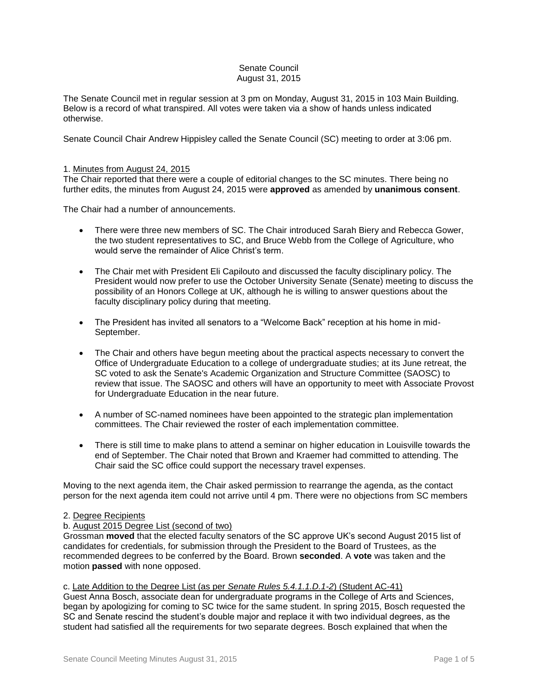## Senate Council August 31, 2015

The Senate Council met in regular session at 3 pm on Monday, August 31, 2015 in 103 Main Building. Below is a record of what transpired. All votes were taken via a show of hands unless indicated otherwise.

Senate Council Chair Andrew Hippisley called the Senate Council (SC) meeting to order at 3:06 pm.

## 1. Minutes from August 24, 2015

The Chair reported that there were a couple of editorial changes to the SC minutes. There being no further edits, the minutes from August 24, 2015 were **approved** as amended by **unanimous consent**.

The Chair had a number of announcements.

- There were three new members of SC. The Chair introduced Sarah Biery and Rebecca Gower, the two student representatives to SC, and Bruce Webb from the College of Agriculture, who would serve the remainder of Alice Christ's term.
- The Chair met with President Eli Capilouto and discussed the faculty disciplinary policy. The President would now prefer to use the October University Senate (Senate) meeting to discuss the possibility of an Honors College at UK, although he is willing to answer questions about the faculty disciplinary policy during that meeting.
- The President has invited all senators to a "Welcome Back" reception at his home in mid-September.
- The Chair and others have begun meeting about the practical aspects necessary to convert the Office of Undergraduate Education to a college of undergraduate studies; at its June retreat, the SC voted to ask the Senate's Academic Organization and Structure Committee (SAOSC) to review that issue. The SAOSC and others will have an opportunity to meet with Associate Provost for Undergraduate Education in the near future.
- A number of SC-named nominees have been appointed to the strategic plan implementation committees. The Chair reviewed the roster of each implementation committee.
- There is still time to make plans to attend a seminar on higher education in Louisville towards the end of September. The Chair noted that Brown and Kraemer had committed to attending. The Chair said the SC office could support the necessary travel expenses.

Moving to the next agenda item, the Chair asked permission to rearrange the agenda, as the contact person for the next agenda item could not arrive until 4 pm. There were no objections from SC members

## 2. Degree Recipients

# b. August 2015 Degree List (second of two)

Grossman **moved** that the elected faculty senators of the SC approve UK's second August 2015 list of candidates for credentials, for submission through the President to the Board of Trustees, as the recommended degrees to be conferred by the Board. Brown **seconded**. A **vote** was taken and the motion **passed** with none opposed.

## c. Late Addition to the Degree List (as per *Senate Rules 5.4.1.1.D.1-2*) (Student AC-41)

Guest Anna Bosch, associate dean for undergraduate programs in the College of Arts and Sciences, began by apologizing for coming to SC twice for the same student. In spring 2015, Bosch requested the SC and Senate rescind the student's double major and replace it with two individual degrees, as the student had satisfied all the requirements for two separate degrees. Bosch explained that when the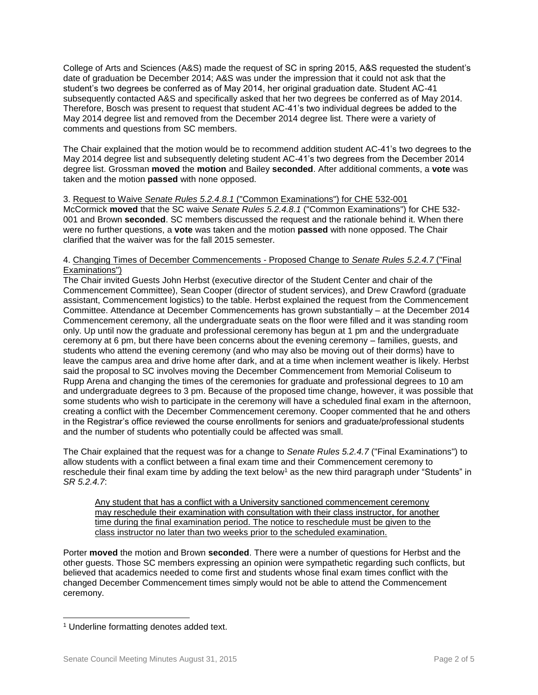College of Arts and Sciences (A&S) made the request of SC in spring 2015, A&S requested the student's date of graduation be December 2014; A&S was under the impression that it could not ask that the student's two degrees be conferred as of May 2014, her original graduation date. Student AC-41 subsequently contacted A&S and specifically asked that her two degrees be conferred as of May 2014. Therefore, Bosch was present to request that student AC-41's two individual degrees be added to the May 2014 degree list and removed from the December 2014 degree list. There were a variety of comments and questions from SC members.

The Chair explained that the motion would be to recommend addition student AC-41's two degrees to the May 2014 degree list and subsequently deleting student AC-41's two degrees from the December 2014 degree list. Grossman **moved** the **motion** and Bailey **seconded**. After additional comments, a **vote** was taken and the motion **passed** with none opposed.

3. Request to Waive *Senate Rules 5.2.4.8.1* ("Common Examinations") for CHE 532-001 McCormick **moved** that the SC waive *Senate Rules 5.2.4.8.1* ("Common Examinations") for CHE 532- 001 and Brown **seconded**. SC members discussed the request and the rationale behind it. When there were no further questions, a **vote** was taken and the motion **passed** with none opposed. The Chair clarified that the waiver was for the fall 2015 semester.

## 4. Changing Times of December Commencements - Proposed Change to *Senate Rules 5.2.4.7* ("Final Examinations")

The Chair invited Guests John Herbst (executive director of the Student Center and chair of the Commencement Committee), Sean Cooper (director of student services), and Drew Crawford (graduate assistant, Commencement logistics) to the table. Herbst explained the request from the Commencement Committee. Attendance at December Commencements has grown substantially – at the December 2014 Commencement ceremony, all the undergraduate seats on the floor were filled and it was standing room only. Up until now the graduate and professional ceremony has begun at 1 pm and the undergraduate ceremony at 6 pm, but there have been concerns about the evening ceremony – families, guests, and students who attend the evening ceremony (and who may also be moving out of their dorms) have to leave the campus area and drive home after dark, and at a time when inclement weather is likely. Herbst said the proposal to SC involves moving the December Commencement from Memorial Coliseum to Rupp Arena and changing the times of the ceremonies for graduate and professional degrees to 10 am and undergraduate degrees to 3 pm. Because of the proposed time change, however, it was possible that some students who wish to participate in the ceremony will have a scheduled final exam in the afternoon, creating a conflict with the December Commencement ceremony. Cooper commented that he and others in the Registrar's office reviewed the course enrollments for seniors and graduate/professional students and the number of students who potentially could be affected was small.

The Chair explained that the request was for a change to *Senate Rules 5.2.4.7* ("Final Examinations") to allow students with a conflict between a final exam time and their Commencement ceremony to reschedule their final exam time by adding the text below<sup>1</sup> as the new third paragraph under "Students" in *SR 5.2.4.7*:

Any student that has a conflict with a University sanctioned commencement ceremony may reschedule their examination with consultation with their class instructor, for another time during the final examination period. The notice to reschedule must be given to the class instructor no later than two weeks prior to the scheduled examination.

Porter **moved** the motion and Brown **seconded**. There were a number of questions for Herbst and the other guests. Those SC members expressing an opinion were sympathetic regarding such conflicts, but believed that academics needed to come first and students whose final exam times conflict with the changed December Commencement times simply would not be able to attend the Commencement ceremony.

l

<sup>1</sup> Underline formatting denotes added text.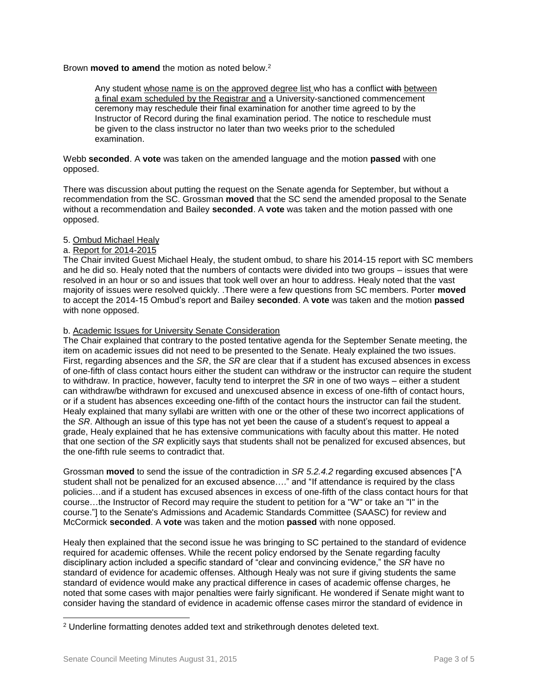# Brown **moved to amend** the motion as noted below.<sup>2</sup>

Any student whose name is on the approved degree list who has a conflict with between a final exam scheduled by the Registrar and a University-sanctioned commencement ceremony may reschedule their final examination for another time agreed to by the Instructor of Record during the final examination period. The notice to reschedule must be given to the class instructor no later than two weeks prior to the scheduled examination.

Webb **seconded**. A **vote** was taken on the amended language and the motion **passed** with one opposed.

There was discussion about putting the request on the Senate agenda for September, but without a recommendation from the SC. Grossman **moved** that the SC send the amended proposal to the Senate without a recommendation and Bailey **seconded**. A **vote** was taken and the motion passed with one opposed.

## 5. Ombud Michael Healy

## a. Report for 2014-2015

The Chair invited Guest Michael Healy, the student ombud, to share his 2014-15 report with SC members and he did so. Healy noted that the numbers of contacts were divided into two groups – issues that were resolved in an hour or so and issues that took well over an hour to address. Healy noted that the vast majority of issues were resolved quickly. .There were a few questions from SC members. Porter **moved** to accept the 2014-15 Ombud's report and Bailey **seconded**. A **vote** was taken and the motion **passed** with none opposed.

### b. Academic Issues for University Senate Consideration

The Chair explained that contrary to the posted tentative agenda for the September Senate meeting, the item on academic issues did not need to be presented to the Senate. Healy explained the two issues. First, regarding absences and the *SR*, the *SR* are clear that if a student has excused absences in excess of one-fifth of class contact hours either the student can withdraw or the instructor can require the student to withdraw. In practice, however, faculty tend to interpret the *SR* in one of two ways – either a student can withdraw/be withdrawn for excused and unexcused absence in excess of one-fifth of contact hours, or if a student has absences exceeding one-fifth of the contact hours the instructor can fail the student. Healy explained that many syllabi are written with one or the other of these two incorrect applications of the *SR*. Although an issue of this type has not yet been the cause of a student's request to appeal a grade, Healy explained that he has extensive communications with faculty about this matter. He noted that one section of the *SR* explicitly says that students shall not be penalized for excused absences, but the one-fifth rule seems to contradict that.

Grossman **moved** to send the issue of the contradiction in *SR 5.2.4.2* regarding excused absences ["A student shall not be penalized for an excused absence…." and "If attendance is required by the class policies…and if a student has excused absences in excess of one-fifth of the class contact hours for that course…the Instructor of Record may require the student to petition for a "W" or take an "I" in the course."] to the Senate's Admissions and Academic Standards Committee (SAASC) for review and McCormick **seconded**. A **vote** was taken and the motion **passed** with none opposed.

Healy then explained that the second issue he was bringing to SC pertained to the standard of evidence required for academic offenses. While the recent policy endorsed by the Senate regarding faculty disciplinary action included a specific standard of "clear and convincing evidence," the *SR* have no standard of evidence for academic offenses. Although Healy was not sure if giving students the same standard of evidence would make any practical difference in cases of academic offense charges, he noted that some cases with major penalties were fairly significant. He wondered if Senate might want to consider having the standard of evidence in academic offense cases mirror the standard of evidence in

l

<sup>&</sup>lt;sup>2</sup> Underline formatting denotes added text and strikethrough denotes deleted text.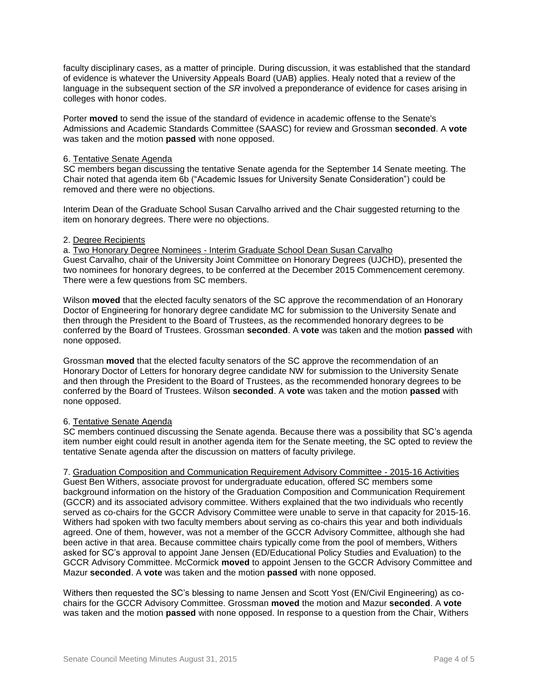faculty disciplinary cases, as a matter of principle. During discussion, it was established that the standard of evidence is whatever the University Appeals Board (UAB) applies. Healy noted that a review of the language in the subsequent section of the *SR* involved a preponderance of evidence for cases arising in colleges with honor codes.

Porter **moved** to send the issue of the standard of evidence in academic offense to the Senate's Admissions and Academic Standards Committee (SAASC) for review and Grossman **seconded**. A **vote** was taken and the motion **passed** with none opposed.

### 6. Tentative Senate Agenda

SC members began discussing the tentative Senate agenda for the September 14 Senate meeting. The Chair noted that agenda item 6b ("Academic Issues for University Senate Consideration") could be removed and there were no objections.

Interim Dean of the Graduate School Susan Carvalho arrived and the Chair suggested returning to the item on honorary degrees. There were no objections.

### 2. Degree Recipients

a. Two Honorary Degree Nominees - Interim Graduate School Dean Susan Carvalho Guest Carvalho, chair of the University Joint Committee on Honorary Degrees (UJCHD), presented the two nominees for honorary degrees, to be conferred at the December 2015 Commencement ceremony. There were a few questions from SC members.

Wilson **moved** that the elected faculty senators of the SC approve the recommendation of an Honorary Doctor of Engineering for honorary degree candidate MC for submission to the University Senate and then through the President to the Board of Trustees, as the recommended honorary degrees to be conferred by the Board of Trustees. Grossman **seconded**. A **vote** was taken and the motion **passed** with none opposed.

Grossman **moved** that the elected faculty senators of the SC approve the recommendation of an Honorary Doctor of Letters for honorary degree candidate NW for submission to the University Senate and then through the President to the Board of Trustees, as the recommended honorary degrees to be conferred by the Board of Trustees. Wilson **seconded**. A **vote** was taken and the motion **passed** with none opposed.

## 6. Tentative Senate Agenda

SC members continued discussing the Senate agenda. Because there was a possibility that SC's agenda item number eight could result in another agenda item for the Senate meeting, the SC opted to review the tentative Senate agenda after the discussion on matters of faculty privilege.

7. Graduation Composition and Communication Requirement Advisory Committee - 2015-16 Activities Guest Ben Withers, associate provost for undergraduate education, offered SC members some background information on the history of the Graduation Composition and Communication Requirement (GCCR) and its associated advisory committee. Withers explained that the two individuals who recently served as co-chairs for the GCCR Advisory Committee were unable to serve in that capacity for 2015-16. Withers had spoken with two faculty members about serving as co-chairs this year and both individuals agreed. One of them, however, was not a member of the GCCR Advisory Committee, although she had been active in that area. Because committee chairs typically come from the pool of members, Withers asked for SC's approval to appoint Jane Jensen (ED/Educational Policy Studies and Evaluation) to the GCCR Advisory Committee. McCormick **moved** to appoint Jensen to the GCCR Advisory Committee and Mazur **seconded**. A **vote** was taken and the motion **passed** with none opposed.

Withers then requested the SC's blessing to name Jensen and Scott Yost (EN/Civil Engineering) as cochairs for the GCCR Advisory Committee. Grossman **moved** the motion and Mazur **seconded**. A **vote** was taken and the motion **passed** with none opposed. In response to a question from the Chair, Withers